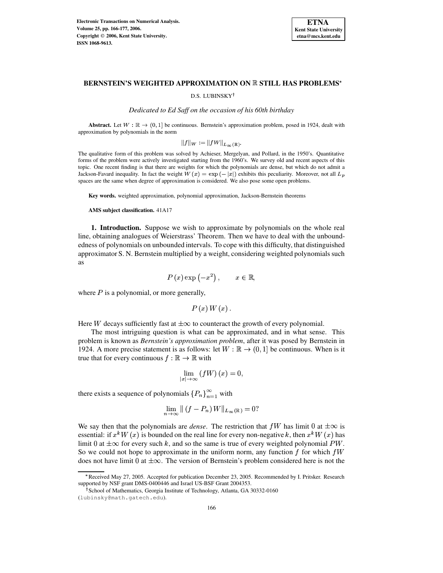

# **BERNSTEIN'S WEIGHTED APPROXIMATION ON STILL HAS PROBLEMS**

## D.S. LUBINSKY<sup>†</sup>

*Dedicated to Ed Saff on the occasion of his 60th birthday*

**Abstract.** Let  $W : \mathbb{R} \to (0, 1]$  be continuous. Bernstein's approximation problem, posed in 1924, dealt with approximation by polynomials in the norm

$$
||f||_W := ||fW||_{L_{\infty}(\mathbb{R})}.
$$

The qualitative form of this problem was solved by Achieser, Mergelyan, and Pollard, in the 1950's. Quantitative forms of the problem were actively investigated starting from the 1960's. We survey old and recent aspects of this topic. One recent finding is that there are weights for which the polynomials are dense, but which do not admit a Jackson-Favard inequality. In fact the weight  $W(x) = \exp(-|x|)$  exhibits this peculiarity. Moreover, not all  $L_p$ spaces are the same when degree of approximation is considered. We also pose some open problems.

**Key words.** weighted approximation, polynomial approximation, Jackson-Bernstein theorems

**AMS subject classification.** 41A17

**1. Introduction.** Suppose we wish to approximate by polynomials on the whole real line, obtaining analogues of Weierstrass' Theorem. Then we have to deal with the unboundedness of polynomials on unbounded intervals. To cope with this difficulty, that distinguished approximator S. N. Bernstein multiplied by a weight, considering weighted polynomials such as

$$
P(x) \exp(-x^2), \qquad x \in \mathbb{R},
$$

where  $P$  is a polynomial, or more generally,

 $P(x)W(x)$ .

Here W decays sufficiently fast at  $\pm \infty$  to counteract the growth of every polynomial.

The most intriguing question is what can be approximated, and in what sense. This problem is known as *Bernstein's approximation problem*, after it was posed by Bernstein in 1924. A more precise statement is as follows: let  $W:\mathbb{R}\to(0,1]$  be continuous. When is it true that for every continuous  $f : \mathbb{R} \to \mathbb{R}$  with

$$
\lim_{|x|\to\infty}\left(fW\right)(x)=0,
$$

there exists a sequence of polynomials  $\{P_n\}_{n=1}^{\infty}$  with

$$
\lim_{n \to \infty} \| (f - P_n) W \|_{L_\infty(\mathbb{R})} = 0?
$$

We say then that the polynomials are *dense*. The restriction that  $fW$  has limit 0 at  $\pm \infty$  is essential: if  $x^k W(x)$  is bounded on the real line for every non-negative k, then  $x^k W(x)$  has limit 0 at  $\pm \infty$  for every such k, and so the same is true of every weighted polynomial PW. So we could not hope to approximate in the uniform norm, any function  $\tilde{f}$  for which  $\tilde{f}W$ does not have limit 0 at  $\pm \infty$ . The version of Bernstein's problem considered here is not the

<sup>\*</sup> Received May 27, 2005. Accepted for publication December 23, 2005. Recommended by I. Pritsker. Research supported by NSF grant DMS-0400446 and Israel US-BSF Grant 2004353.

<sup>&</sup>lt;sup>†</sup> School of Mathematics, Georgia Institute of Technology, Atlanta, GA 30332-0160

<sup>(</sup>lubinsky@math.gatech.edu).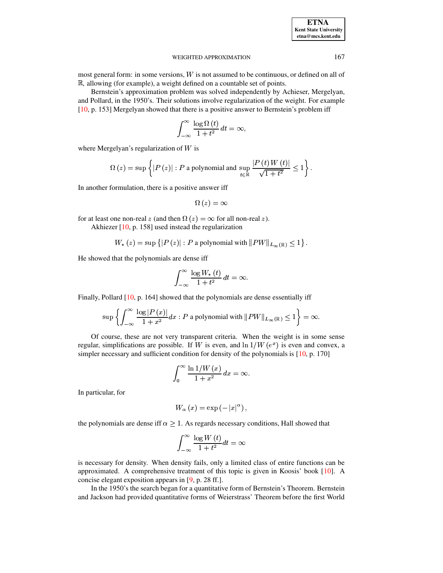**ETNA Kent State University etna@mcs.kent.edu**

## WEIGHTED APPROXIMATION 167

most general form: in some versions,  $W$  is not assumed to be continuous, or defined on all of , allowing (for example), a weight defined on a countable set of points.

Bernstein's approximation problem was solved independently by Achieser, Mergelyan, and Pollard, in the 1950's. Their solutions involve regularization of the weight. For example [\[10,](#page-11-0) p. 153] Mergelyan showed that there is a positive answer to Bernstein's problem iff

$$
\int_{-\infty}^{\infty}\frac{\log\Omega\left(t\right)}{1+t^{2}}\,dt=\infty,
$$

where Mergelyan's regularization of  $W$  is

$$
\Omega(z) = \sup \left\{ |P(z)| : P \text{ a polynomial and } \sup_{t \in \mathbb{R}} \frac{|P(t)W(t)|}{\sqrt{1+t^2}} \le 1 \right\}.
$$

In another formulation, there is a positive answer iff

$$
\Omega(z) = \infty
$$

for at least one non-real z (and then  $\Omega(z) = \infty$  for all non-real z).

Akhiezer [\[10,](#page-11-0) p. 158] used instead the regularization

$$
W_{*}(z) = \sup \left\{ \left| P\left(z\right) \right|: P \text{ a polynomial with } \left\| PW \right\|_{L_{\infty}(\mathbb{R})} \leq 1 \right\}.
$$

He showed that the polynomials are dense iff

$$
\int_{-\infty}^{\infty}\frac{\log W_{\ast}\left( t\right) }{1+t^{2}}\,dt=\infty.
$$

Finally, Pollard [\[10,](#page-11-0) p. 164] showed that the polynomials are dense essentially iff

$$
\sup\left\{\int_{-\infty}^\infty\frac{\log|P\left(x\right)|}{1+x^2}dx:P\text{ a polynomial with } \|PW\|_{L_\infty(\mathbb{R})}\leq 1\right\}=\infty.
$$

Of course, these are not very transparent criteria. When the weight is in some sense regular, simplifications are possible. If W is even, and  $\ln 1/W(e^x)$  is even and convex, a simpler necessary and sufficient condition for density of the polynomials is [\[10,](#page-11-0) p. 170]

$$
\int_0^\infty\frac{\ln 1/W\left(x\right)}{1+x^2}\,dx=\infty.
$$

In particular, for

$$
W_{\alpha }\left( x\right) =\exp \left( -\left\vert x\right\vert ^{\alpha }\right) ,
$$

the polynomials are dense iff  $\alpha \geq 1$ . As regards necessary conditions, Hall showed that

$$
\int_{-\infty}^{\infty}\frac{\log W\left( t\right) }{1+t^{2}}dt=\infty
$$

is necessary for density. When density fails, only a limited class of entire functions can be approximated. A comprehensive treatment of this topic is given in Koosis' book [\[10\]](#page-11-0). A concise elegant exposition appears in [\[9,](#page-11-1) p. 28 ff.].

In the 1950's the search began for a quantitative form of Bernstein's Theorem. Bernstein and Jackson had provided quantitative forms of Weierstrass' Theorem before the first World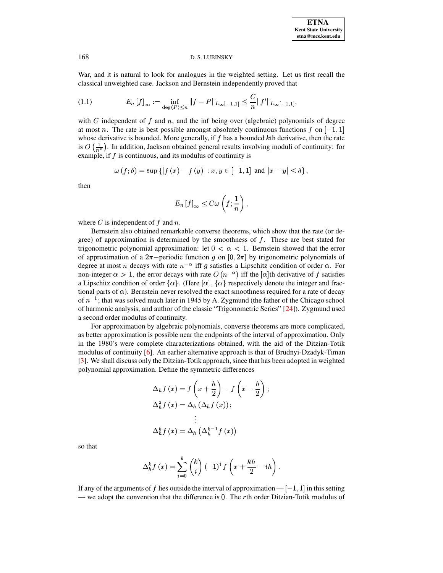War, and it is natural to look for analogues in the weighted setting. Let us first recall the classical unweighted case. Jackson and Bernstein independently proved that

$$
(1.1) \t E_n[f]_{\infty} := \inf_{\deg(P) \le n} \|f - P\|_{L_{\infty}[-1,1]} \le \frac{C}{n} \|f'\|_{L_{\infty}[-1,1]},
$$

with C independent of  $f$  and  $n$ , and the inf being over (algebraic) polynomials of degree at most n. The rate is best possible amongst absolutely continuous functions f on  $[-1, 1]$ whose derivative is bounded. More generally, if  $f$  has a bounded  $k$ th derivative, then the rate is  $O\left(\frac{1}{\sqrt{k}}\right)$ . In addition, Jackson obtained general results involving moduli of continuity: for example, if  $f$  is continuous, and its modulus of continuity is

$$
\omega(f; \delta) = \sup \left\{ |f(x) - f(y)| : x, y \in [-1, 1] \text{ and } |x - y| \le \delta \right\},\
$$

then

<span id="page-2-0"></span>
$$
E_n\left[f\right]_{\infty}\leq C\omega\left(f;\frac{1}{n}\right),\,
$$

where  $C$  is independent of  $f$  and  $n$ .

Bernstein also obtained remarkable converse theorems, which show that the rate (or degree) of approximation is determined by the smoothness of  $f$ . These are best stated for trigonometric polynomial approximation: let  $0 < \alpha < 1$ . Bernstein showed that the error of approximation of a  $2\pi$ -periodic function g on  $[0, 2\pi]$  by trigonometric polynomials of degree at most *n* decays with rate  $n^{-\alpha}$  iff *g* satisfies a Lipschitz condition of order  $\alpha$ . For non-integer  $\alpha > 1$ , the error decays with rate  $O(n^{-\alpha})$  iff the [ $\alpha$ ]th derivative of f satisfies a Lipschitz condition of order  $\{\alpha\}$ . (Here  $[\alpha]$ ,  $\{\alpha\}$  respectively denote the integer and fractional parts of  $\alpha$ ). Bernstein never resolved the exact smoothness required for a rate of decay of  $n^{-1}$ ; that was solved much later in 1945 by A. Zygmund (the father of the Chicago school of harmonic analysis, and author of the classic "Trigonometric Series" [24]). Zygmund used a second order modulus of continuity.

For approximation by algebraic polynomials, converse theorems are more complicated, as better approximation is possible near the endpoints of the interval of approximation. Only in the 1980's were complete characterizations obtained, with the aid of the Ditzian-Totik modulus of continuity [6]. An earlier alternative approach is that of Brudnyi-Dzadyk-Timan [3]. We shall discuss only the Ditzian-Totik approach, since that has been adopted in weighted polynomial approximation. Define the symmetric differences

$$
\Delta_{h} f(x) = f\left(x + \frac{h}{2}\right) - f\left(x - \frac{h}{2}\right);
$$
  

$$
\Delta_{h}^{2} f(x) = \Delta_{h} \left(\Delta_{h} f(x)\right);
$$
  

$$
\vdots
$$
  

$$
\Delta_{h}^{k} f(x) = \Delta_{h} \left(\Delta_{h}^{k-1} f(x)\right)
$$

so that

$$
\Delta_h^k f(x) = \sum_{i=0}^k {k \choose i} (-1)^i f\left(x + \frac{kh}{2} - ih\right).
$$

If any of the arguments of f lies outside the interval of approximation —  $[-1, 1]$  in this setting — we adopt the convention that the difference is  $0$ . The rth order Ditzian-Totik modulus of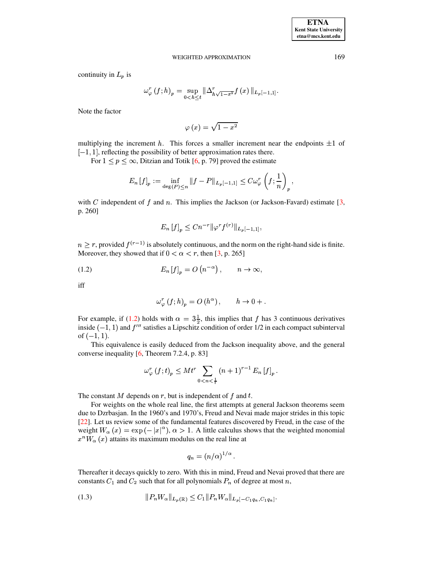continuity in  $L_p$  is

$$
\omega_{\varphi}^{r}(f; h)_{p} = \sup_{0
$$

Note the factor

$$
\varphi\left(x\right)=\sqrt{1-x^{2}}
$$

multiplying the increment h. This forces a smaller increment near the endpoints  $\pm 1$  of  $[-1, 1]$ , reflecting the possibility of better approximation rates there.

For  $1 \le p \le \infty$ , Ditzian and Totik [6, p. 79] proved the estimate

$$
E_n[f]_p := \inf_{\deg(P) \le n} \|f - P\|_{L_p[-1,1]} \le C \omega_{\varphi}^r \left(f; \frac{1}{n}\right)_p,
$$

with C independent of f and n. This implies the Jackson (or Jackson-Favard) estimate  $[3, 3]$ p. 260]

<span id="page-3-0"></span>
$$
E_n[f]_p \le Cn^{-r} \|\varphi^r f^{(r)}\|_{L_p[-1,1]},
$$

 $n > r$ , provided  $f^{(r-1)}$  is absolutely continuous, and the norm on the right-hand side is finite. Moreover, they showed that if  $0 < \alpha < r$ , then [3, p. 265]

$$
(1.2) \tEn[f]n = O(n-\alpha), \t n \to \infty,
$$

iff

$$
\omega_{\varphi}^r (f; h)_p = O(h^{\alpha}), \qquad h \to 0 + .
$$

For example, if (1.2) holds with  $\alpha = 3\frac{1}{2}$ , this implies that f has 3 continuous derivatives inside  $(-1, 1)$  and  $f'''$  satisfies a Lipschitz condition of order 1/2 in each compact subinterval of  $(-1, 1)$ .

This equivalence is easily deduced from the Jackson inequality above, and the general converse inequality  $[6,$  Theorem 7.2.4, p. 83]

$$
\omega_{\varphi}^r (f; t)_p \leq M t^r \sum_{0 < n < \frac{1}{r}} (n+1)^{r-1} E_n [f]_p \, .
$$

The constant M depends on  $r$ , but is independent of  $f$  and  $t$ .

For weights on the whole real line, the first attempts at general Jackson theorems seem due to Dzrbasjan. In the 1960's and 1970's, Freud and Nevai made major strides in this topic [22]. Let us review some of the fundamental features discovered by Freud, in the case of the weight  $W_{\alpha}(x) = \exp(-|x|^{\alpha})$ ,  $\alpha > 1$ . A little calculus shows that the weighted monomial  $x^nW_\alpha(x)$  attains its maximum modulus on the real line at

<span id="page-3-1"></span>
$$
q_n = (n/\alpha)^{1/\alpha}
$$

Thereafter it decays quickly to zero. With this in mind, Freud and Nevai proved that there are constants  $C_1$  and  $C_2$  such that for all polynomials  $P_n$  of degree at most n,

$$
(1.3) \t\t\t ||P_n W_\alpha||_{L_p(\mathbb{R})} \le C_1 ||P_n W_\alpha||_{L_p[-C_1 q_n, C_1 q_n]}
$$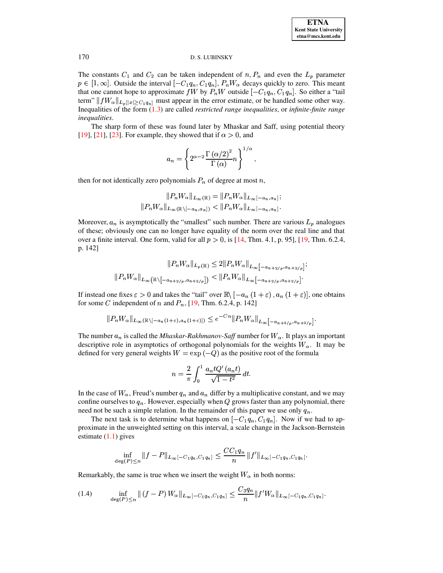The constants  $C_1$  and  $C_2$  can be taken independent of  $n, P_n$  and even the  $L_p$  parameter  $p \in [1,\infty]$ . Outside the interval  $[-C_1 q_n, C_1 q_n]$ ,  $P_n W_\alpha$  decays quickly to zero. This meant that one cannot hope to approximate fW by  $P_nW$  outside  $[-C_1q_n, C_1q_n]$ . So either a "tail term"  $||fW_{\alpha}||_{L_p[|x|\geq C_1q_n]}$  must appear in the error estimate, or be handled some other way. Inequalities of the form  $(1.3)$  are called *restricted range inequalities*, or *infinite-finite range inequalities.* 

The sharp form of these was found later by Mhaskar and Saff, using potential theory [19], [21], [23]. For example, they showed that if  $\alpha > 0$ , and

$$
a_n = \left\{ 2^{\alpha - 2} \frac{\Gamma(\alpha/2)^2}{\Gamma(\alpha)} n \right\}^{1/\alpha},
$$

then for not identically zero polynomials  $P_n$  of degree at most n,

$$
||P_n W_{\alpha}||_{L_{\infty}(\mathbb{R})} = ||P_n W_{\alpha}||_{L_{\infty}[-a_n, a_n]};
$$
  

$$
||P_n W_{\alpha}||_{L_{\infty}(\mathbb{R}\setminus[-a_n, a_n])} < ||P_n W_{\alpha}||_{L_{\infty}[-a_n, a_n]}.
$$

Moreover,  $a_n$  is asymptotically the "smallest" such number. There are various  $L_p$  analogues of these; obviously one can no longer have equality of the norm over the real line and that over a finite interval. One form, valid for all  $p > 0$ , is [14, Thm. 4.1, p. 95], [19, Thm. 6.2.4, p. 142]

$$
||P_n W_{\alpha}||_{L_p(\mathbb{R})} \leq 2||P_n W_{\alpha}||_{L_{\infty}}[-a_{n+2/p}, a_{n+2/p}];
$$
  

$$
||P_n W_{\alpha}||_{L_{\infty}}\left(\mathbb{R}\setminus[-a_{n+2/p}, a_{n+2/p}]\right) < ||P_n W_{\alpha}||_{L_{\infty}}[-a_{n+2/p}, a_{n+2/p}].
$$

If instead one fixes  $\varepsilon > 0$  and takes the "tail" over  $\mathbb{R} \setminus [-a_n(1+\varepsilon), a_n(1+\varepsilon)]$ , one obtains for some C independent of n and  $P_n$ , [19, Thm. 6.2.4, p. 142]

$$
||P_nW_{\alpha}||_{L_{\infty}(\mathbb{R}\setminus[-a_n(1+\varepsilon),a_n(1+\varepsilon)])} \leq e^{-Cn}||P_nW_{\alpha}||_{L_{\infty}[-a_{n+2/p},a_{n+2/p}]}
$$

The number  $a_n$  is called the *Mhaskar-Rakhmanov-Saff* number for  $W_\alpha$ . It plays an important descriptive role in asymptotics of orthogonal polynomials for the weights  $W_{\alpha}$ . It may be defined for very general weights  $W = \exp(-Q)$  as the positive root of the formula

<span id="page-4-0"></span>
$$
n = \frac{2}{\pi} \int_0^1 \frac{a_n t Q'(a_n t)}{\sqrt{1 - t^2}} dt.
$$

In the case of  $W_{\alpha}$ , Freud's number  $q_n$  and  $a_n$  differ by a multiplicative constant, and we may confine ourselves to  $q_n$ . However, especially when  $Q$  grows faster than any polynomial, there need not be such a simple relation. In the remainder of this paper we use only  $q_n$ .

The next task is to determine what happens on  $[-C_1 q_n, C_1 q_n]$ . Now if we had to approximate in the unweighted setting on this interval, a scale change in the Jackson-Bernstein estimate  $(1.1)$  gives

$$
\inf_{\deg(P)\leq n} \|f-P\|_{L_{\infty}[-C_1q_n,C_1q_n]} \leq \frac{CC_1q_n}{n} \|f'\|_{L_{\infty}[-C_1q_n,C_1q_n]}.
$$

Remarkably, the same is true when we insert the weight  $W_{\alpha}$  in both norms:

$$
(1.4) \quad \inf_{\deg(P)\leq n} \|(f-P)W_{\alpha}\|_{L_{\infty}[-C_1q_n,C_1q_n]} \leq \frac{C_3q_n}{n} \|f'W_{\alpha}\|_{L_{\infty}[-C_1q_n,C_1q_n]}.
$$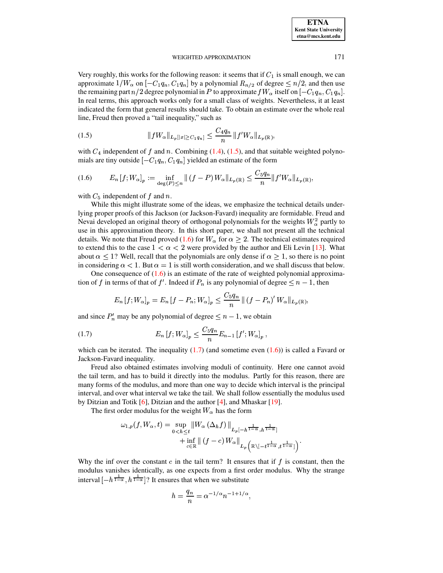Very roughly, this works for the following reason: it seems that if  $C_1$  is small enough, we can approximate  $1/W_\alpha$  on  $[-C_1q_n, C_1q_n]$  by a polynomial  $R_{n/2}$  of degree  $\leq n/2$ , and then use the remaining part  $n/2$  degree polynomial in P to approximate  $fW_\alpha$  itself on  $[-C_1q_n, C_1q_n]$ . In real terms, this approach works only for a small class of weights. Nevertheless, it at least indicated the form that general results should take. To obtain an estimate over the whole real line, Freud then proved a "tail inequality," such as

<span id="page-5-0"></span>(1.5) 
$$
||fW_{\alpha}||_{L_p[|x|\geq C_1 q_n]} \leq \frac{C_4 q_n}{n} ||f'W_{\alpha}||_{L_p(\mathbb{R})},
$$

<span id="page-5-1"></span>with  $C_4$  independent of  $\ f$  and  $\ n$ . Combining [\(1.4\)](#page-4-0), [\(1.5\)](#page-5-0), and that suitable weighted polynomials are tiny outside  $[-C_1 q_n, C_1 q_n]$  yielded an estimate of the form

$$
(1.6) \tE_n[f;W_\alpha]_p := \inf_{\deg(P) \le n} \| (f - P) W_\alpha \|_{L_p(\mathbb{R})} \le \frac{C_5 q_n}{n} \| f' W_\alpha \|_{L_p(\mathbb{R})},
$$

with  $C_5$  independent of  $f$  and  $n$ .<br>While this might illustrate some of the

While this might illustrate some of the ideas, we emphasize the technical details underlying proper proofs of this Jackson (or Jackson-Favard) inequality are formidable. Freud and Nevai developed an original theory of orthogonal polynomials for the weights  $W^2_{\alpha}$  partly to use in this approximation theory. In this short paper, we shall not present all the technical details. We note that Freud proved [\(1.6\)](#page-5-1) for  $W_{\alpha}$  for  $\alpha \geq 2$ . The technical estimates required to extend this to the case  $1 < \alpha < 2$  were provided by the author and Eli Levin [\[13\]](#page-11-9). What about  $\alpha \leq 1$ ? Well, recall that the polynomials are only dense if  $\alpha \geq 1$ , so there is no point in considering  $\alpha < 1$ . But  $\alpha = 1$  is still worth consideration, and we shall discuss that below.

One consequence of  $(1.6)$  is an estimate of the rate of weighted polynomial approximation of  $\ f$  in terms of that of  $f'$ . Indeed if  $P_n$  is any polynomial of degree  $\leq n-1$ , then

<span id="page-5-2"></span>
$$
E_n[f;W_\alpha]_p = E_n[f - P_n;W_\alpha]_p \le \frac{C_5 q_n}{n} ||(f - P_n)' W_\alpha||_{L_p(\mathbb{R})},
$$

and since  $P'_n$  may be any polynomial of degree  $\leq n-1$ , we obtain

(1.7) 
$$
E_n[f; W_{\alpha}]_p \leq \frac{C_5 q_n}{n} E_{n-1}[f'; W_{\alpha}]_p,
$$

which can be iterated. The inequality  $(1.7)$  (and sometime even  $(1.6)$ ) is called a Favard or Jackson-Favard inequality.

Freud also obtained estimates involving moduli of continuity. Here one cannot avoid the tail term, and has to build it directly into the modulus. Partly for this reason, there are many forms of the modulus, and more than one way to decide which interval is the principal interval, and over what interval we take the tail. We shall follow essentially the modulus used by Ditzian and Totik [\[6\]](#page-11-3), Ditzian and the author [\[4\]](#page-11-10), and Mhaskar [\[19\]](#page-11-5).

The first order modulus for the weight  $W_\alpha$  has the form

$$
\omega_{1,p}(f, W_{\alpha}, t) = \sup_{0 < h \leq t} \left\| W_{\alpha} \left( \Delta_h f \right) \right\|_{L_p[-h^{\frac{1}{1-\alpha}}, h^{\frac{1}{1-\alpha}}]} + \inf_{c \in \mathbb{R}} \left\| \left( f - c \right) W_{\alpha} \right\|_{L_p\left(\mathbb{R} \setminus [-t^{\frac{1}{1-\alpha}}, t^{\frac{1}{1-\alpha}}] \right)}.
$$

Why the inf over the constant c in the tail term? It ensures that if  $f$  is constant, then the modulus vanishes identically, as one expects from a first order modulus. Why the strange interval  $[-h^{\frac{1}{1-\alpha}}, h^{\frac{1}{1-\alpha}}]$ ? It en  $\frac{1}{1-\alpha}$ ? It ensures that when we substitute

$$
h = \frac{q_n}{n} = \alpha^{-1/\alpha} n^{-1+1/\alpha},
$$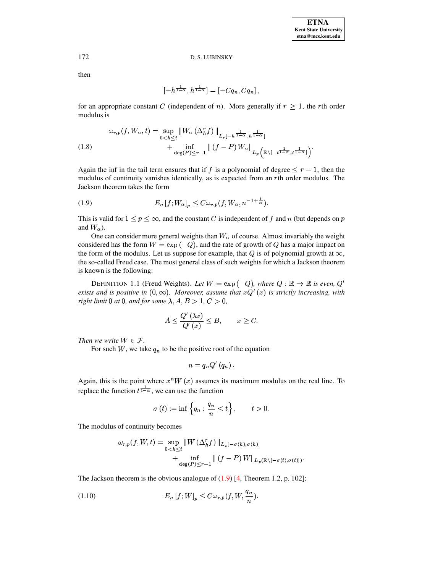then

$$
[-h^{\frac{1}{1-\alpha}},h^{\frac{1}{1-\alpha}}]=[-Cq_n,Cq_n],
$$

for an appropriate constant C (independent of n). More generally if  $r > 1$ , the rth order modulus is

<span id="page-6-2"></span>
$$
\omega_{r,p}(f, W_{\alpha}, t) = \sup_{0 < h \leq t} \left\| W_{\alpha} \left( \Delta_h^r f \right) \right\|_{L_p[-h^{\frac{1}{1-\alpha}}, h^{\frac{1}{1-\alpha}}]}
$$
\n
$$
+ \inf_{\deg(P) \leq r-1} \left\| \left( f - P \right) W_{\alpha} \right\|_{L_p\left(\mathbb{R} \setminus [-t^{\frac{1}{1-\alpha}}, t^{\frac{1}{1-\alpha}}] \right)}
$$

Again the inf in the tail term ensures that if f is a polynomial of degree  $\leq r - 1$ , then the modulus of continuity vanishes identically, as is expected from an  $r$ th order modulus. The Jackson theorem takes the form

<span id="page-6-0"></span>(1.9) 
$$
E_n[f;W_\alpha]_p \leq C \omega_{r,p}(f,W_\alpha,n^{-1+\frac{1}{\alpha}}).
$$

This is valid for  $1 \le p \le \infty$ , and the constant C is independent of f and n (but depends on p and  $W_{\alpha}$ ).

One can consider more general weights than  $W_{\alpha}$  of course. Almost invariably the weight considered has the form  $W = \exp(-Q)$ , and the rate of growth of Q has a major impact on the form of the modulus. Let us suppose for example, that  $Q$  is of polynomial growth at  $\infty$ , the so-called Freud case. The most general class of such weights for which a Jackson theorem is known is the following:

DEFINITION 1.1 (Freud Weights). Let  $W = \exp(-Q)$ , where  $Q : \mathbb{R} \to \mathbb{R}$  is even,  $Q'$ exists and is positive in  $(0, \infty)$ . Moreover, assume that  $xQ'(x)$  is strictly increasing, with right limit 0 at 0, and for some  $\lambda$ ,  $A, B > 1$ ,  $C > 0$ ,

$$
A \le \frac{Q'(\lambda x)}{Q'(x)} \le B, \qquad x \ge C.
$$

Then we write  $W \in \mathcal{F}$ .

For such  $W$ , we take  $q_n$  to be the positive root of the equation

$$
n=q_nQ'(q_n).
$$

Again, this is the point where  $x^n W(x)$  assumes its maximum modulus on the real line. To replace the function  $t^{\frac{1}{1-\alpha}}$ , we can use the function

<span id="page-6-1"></span>
$$
\sigma(t) := \inf \left\{ q_n : \frac{q_n}{n} \le t \right\}, \qquad t > 0.
$$

The modulus of continuity becomes

$$
\omega_{r,p}(f, W, t) = \sup_{0 < h \leq t} \|W(\Delta_h^r f) \|_{L_p[-\sigma(h), \sigma(h)]} + \inf_{\deg(P) \leq r-1} \| (f - P) W \|_{L_p(\mathbb{R} \setminus [-\sigma(t), \sigma(t)])}
$$

The Jackson theorem is the obvious analogue of  $(1.9)$  [4, Theorem 1.2, p. 102]:

$$
(1.10) \t E_n [f;W]_p \leq C \omega_{r,p}(f,W,\frac{q_n}{n}).
$$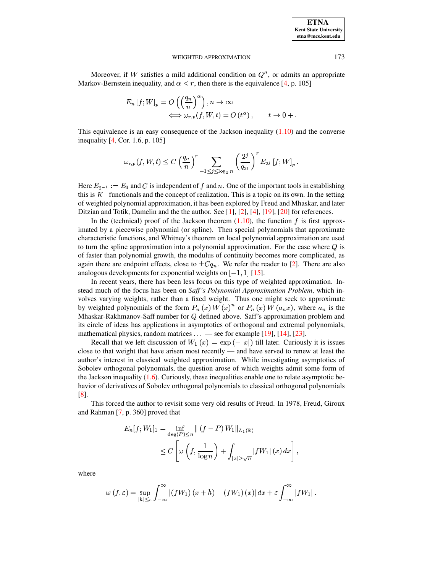Moreover, if W satisfies a mild additional condition on  $Q''$ , or admits an appropriate Markov-Bernstein inequality, and  $\alpha < r$ , then there is the equivalence [\[4,](#page-11-10) p. 105]

$$
E_n[f;W]_p = O\left(\left(\frac{q_n}{n}\right)^{\alpha}\right), n \to \infty
$$
  

$$
\iff \omega_{r,p}(f,W,t) = O(t^{\alpha}), \qquad t \to 0 + .
$$

This equivalence is an easy consequence of the Jackson inequality  $(1.10)$  and the converse inequality [\[4,](#page-11-10) Cor. 1.6, p. 105]

$$
\omega_{r,p}(f,W,t) \leq C \left(\frac{q_n}{n}\right)^r \sum_{-1 \leq j \leq \log_2 n} \left(\frac{2^j}{q_{2^j}}\right)^r E_{2^j} [f;W]_p.
$$

Here  $E_{2^{-1}} := E_0$  and C is independent of  $f$  and  $n$ . One of the important tools in establishing this is  $K$  –functionals and the concept of realization. This is a topic on its own. In the setting of weighted polynomial approximation, it has been explored by Freud and Mhaskar, and later Ditzian and Totik, Damelin and the the author. See [\[1\]](#page-10-1), [\[2\]](#page-10-2), [\[4\]](#page-11-10), [\[19\]](#page-11-5), [\[20\]](#page-11-11) for references.

In the (technical) proof of the Jackson theorem  $(1.10)$ , the function  $\dot{f}$  is first approximated by a piecewise polynomial (or spline). Then special polynomials that approximate characteristic functions, and Whitney's theorem on local polynomial approximation are used to turn the spline approximation into a polynomial approximation. For the case where  $Q$  is of faster than polynomial growth, the modulus of continuity becomes more complicated, as again there are endpoint effects, close to  $\pm C q_n$ . We refer the reader to [\[2\]](#page-10-2). There are also analogous developments for exponential weights on [ 1, 1] [15] analogous developments for exponential weights on  $[-1, 1]$  [\[15\]](#page-11-12).

In recent years, there has been less focus on this type of weighted approximation. Instead much of the focus has been on *Saff's Polynomial Approximation Problem*, which involves varying weights, rather than a fixed weight. Thus one might seek to approximate by weighted polynomials of the form  $P_n(x) W(x)^n$  or  $P_n(x) W(a_n x)$ , where  $a_n$  is the Mhaskar-Rakhmanov-Saff number for Q defined above. Saff's approximation problem and its circle of ideas has applications in asymptotics of orthogonal and extremal polynomials, mathematical physics, random matrices  $\dots$  — see for example [\[19\]](#page-11-5), [\[14\]](#page-11-8), [\[23\]](#page-11-7).

Recall that we left discussion of  $W_1(x) = \exp(-|x|)$  till later. Curiously it is issues close to that weight that have arisen most recently — and have served to renew at least the author's interest in classical weighted approximation. While investigating asymptotics of Sobolev orthogonal polynomials, the question arose of which weights admit some form of the Jackson inequality  $(1.6)$ . Curiously, these inequalities enable one to relate asymptotic behavior of derivatives of Sobolev orthogonal polynomials to classical orthogonal polynomials [\[8\]](#page-11-13).

This forced the author to revisit some very old results of Freud. In 1978, Freud, Giroux and Rahman [\[7,](#page-11-14) p. 360] proved that

$$
E_n[f;W_1]_1 = \inf_{\deg(P) \le n} ||(f - P)W_1||_{L_1(\mathbb{R})}
$$
  
 
$$
\le C \left[ \omega \left( f, \frac{1}{\log n} \right) + \int_{|x| \ge \sqrt{n}} |fW_1| (x) dx \right],
$$

where

$$
\omega \left( f,\varepsilon \right) =\sup_{\left\vert h\right\vert \leq \varepsilon } \int_{-\infty }^{\infty }\left\vert \left( fW_{1} \right) \left( x+h \right) -\left( fW_{1} \right) \left( x \right) \right\vert dx+\varepsilon \int_{-\infty }^{\infty }\left\vert fW_{1} \right\vert.
$$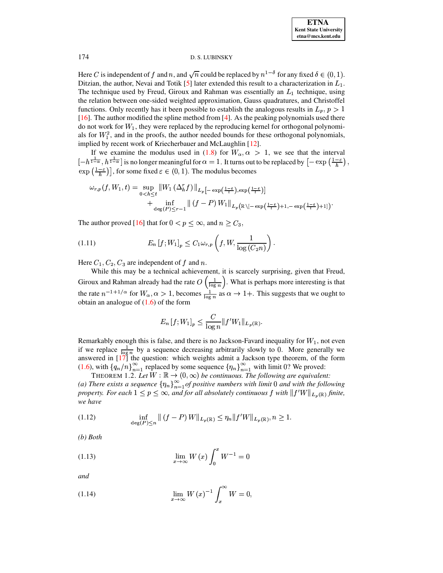Here C is independent of f and n, and  $\sqrt{n}$  could be replaced by  $n^{1-\delta}$  for any fixed  $\delta \in (0,1)$ . Ditzian, the author, Nevai and Totik [5] later extended this result to a characterization in  $L_1$ . The technique used by Freud, Giroux and Rahman was essentially an  $L_1$  technique, using the relation between one-sided weighted approximation, Gauss quadratures, and Christoffel functions. Only recently has it been possible to establish the analogous results in  $L_p$ ,  $p > 1$ [16]. The author modified the spline method from [4]. As the peaking polynomials used there do not work for  $W_1$ , they were replaced by the reproducing kernel for orthogonal polynomials for  $W_1^2$ , and in the proofs, the author needed bounds for these orthogonal polynomials, implied by recent work of Kriecherbauer and McLaughlin [12].

If we examine the modulus used in (1.8) for  $W_{\alpha}, \alpha > 1$ , we see that the interval  $\left[-h^{\frac{1}{1-\alpha}}, h^{\frac{1}{1-\alpha}}\right]$  is no longer meaningful for  $\alpha = 1$ . It turns out to be replaced by  $\left[-\exp\left(\frac{1-\epsilon}{h}\right),\right]$  $\exp\left(\frac{1-\varepsilon}{h}\right)$ , for some fixed  $\varepsilon \in (0,1)$ . The modulus becomes

$$
\omega_{r,p}(f, W_1, t) = \sup_{0 < h \leq t} \|W_1 \left(\Delta_h^r f\right)\|_{L_p\left[-\exp\left(\frac{1-\varepsilon}{t}\right), \exp\left(\frac{1-\varepsilon}{t}\right)\right]} \\
+ \inf_{\deg(P) \leq r-1} \|(f-P) W_1\|_{L_p\left(\mathbb{R}\setminus[-\exp\left(\frac{1-\varepsilon}{t}\right)+1, -\exp\left(\frac{1-\varepsilon}{t}\right)+1\right)}.
$$

The author proved [16] that for  $0 < p \le \infty$ , and  $n \ge C_3$ ,

$$
(1.11) \t E_n[f;W_1]_p \le C_1 \omega_{r,p} \left(f,W,\frac{1}{\log\left(C_2 n\right)}\right)
$$

Here  $C_1$ ,  $C_2$ ,  $C_3$  are independent of f and n.

While this may be a technical achievement, it is scarcely surprising, given that Freud, Giroux and Rahman already had the rate  $O\left(\frac{1}{\log n}\right)$ . What is perhaps more interesting is that the rate  $n^{-1+1/\alpha}$  for  $W_{\alpha}, \alpha > 1$ , becomes  $\frac{1}{\log n}$  as  $\alpha \to 1+$ . This suggests that we ought to obtain an analogue of  $(1.6)$  of the form

<span id="page-8-4"></span>
$$
E_n\left[f;W_1\right]_p \leq \frac{C}{\log n} \|f'W_1\|_{L_p(\mathbb{R})}.
$$

Remarkably enough this is false, and there is no Jackson-Favard inequality for  $W_1$ , not even if we replace  $\frac{1}{\log n}$  by a sequence decreasing arbitrarily slowly to 0. More generally we answered in [17] the question: which weights admit a Jackson type theorem, of the form (1.6), with  $\{q_n/n\}_{n=1}^{\infty}$  replaced by some sequence  $\{\eta_n\}_{n=1}^{\infty}$  with limit 0? We proved:

<span id="page-8-3"></span>THEOREM 1.2. Let  $W : \mathbb{R} \to (0, \infty)$  be continuous. The following are equivalent: (a) There exists a sequence  $\{\eta_n\}_{n=1}^{\infty}$  of positive numbers with limit 0 and with the following property. For each  $1 \leq p \leq \infty$ , and for all absolutely continuous f with  $||f'W||_{L_p(\mathbb{R})}$  finite, we have

<span id="page-8-0"></span>(1.12) 
$$
\inf_{\deg(P)\le n} \|(f-P)W\|_{L_p(\mathbb{R})} \le \eta_n \|f'W\|_{L_p(\mathbb{R})}, n \ge 1.
$$

<span id="page-8-1"></span> $(b)$  Both

(1.13) 
$$
\lim_{x \to \infty} W(x) \int_0^x W^{-1} = 0
$$

<span id="page-8-2"></span>and

$$
\lim_{x \to \infty} W(x)^{-1} \int_x^{\infty} W = 0
$$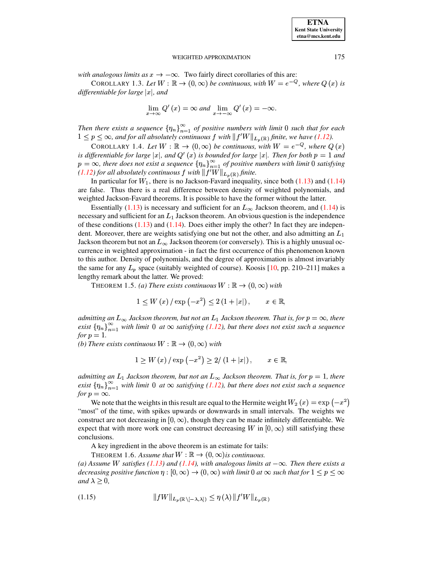*with analogous limits as*  $x \to -\infty$ . Two fairly direct corollaries of this are:

COROLLARY 1.3. Let  $W : \mathbb{R} \to (0, \infty)$  be continuous, with  $W = e^{-Q}$ , where  $Q(x)$  is  $d$ *ifferentiable for large*  $|x|$ *, and* 

$$
\lim_{x \to \infty} Q'(x) = \infty \text{ and } \lim_{x \to -\infty} Q'(x) = -\infty.
$$

*Then there exists a sequence*  $\{\eta_n\}_{n=1}^{\infty}$  *of positive numbers with limit* 0 *such that for each*  $1 \leq p \leq \infty$ , and for all absolutely continuous  $f$  with  $|| f'W ||_{L_n(\mathbb{R})}$  finite, we have [\(1.12\)](#page-8-0).

COROLLARY 1.4. Let  $W : \mathbb{R} \to (0, \infty)$  be continuous, with  $W = e^{-Q}$ , where  $Q(x)$ *is* differentiable for large  $|x|$ , and  $Q'(x)$  is bounded for large  $|x|$ . Then for both  $p = 1$  and  $p = \infty$ , there *does not exist a sequence*  $\{\eta_n\}_{n=1}^{\infty}$  *of positive numbers with limit* 0 *satisfying*  $(1.12)$  *for all absolutely continuous*  $\int$  *with*  $|| f'W ||_{L_n(\mathbb{R})}$  *finite.* 

In particular for  $W_1$ , there is no Jackson-Favard inequality, since both [\(1.13\)](#page-8-1) and [\(1.14\)](#page-8-2) are false. Thus there is a real difference between density of weighted polynomials, and weighted Jackson-Favard theorems. It is possible to have the former without the latter.

Essentially [\(1.13\)](#page-8-1) is necessary and sufficient for an  $L_{\infty}$  Jackson theorem, and [\(1.14\)](#page-8-2) is necessary and sufficient for an  $L_1$  Jackson theorem. An obvious question is the independence of these conditions  $(1.13)$  and  $(1.14)$ . Does either imply the other? In fact they are independent. Moreover, there are weights satisfying one but not the other, and also admitting an  $L_1$ Jackson theorem but not an  $L_{\infty}$  Jackson theorem (or conversely). This is a highly unusual occurrence in weighted approximation - in fact the first occurrence of this phenomenon known to this author. Density of polynomials, and the degree of approximation is almost invariably the same for any  $L_p$  space (suitably weighted of course). Koosis [\[10,](#page-11-0) pp. 210–211] makes a lengthy remark about the latter. We proved:

**THEOREM 1.5.** (a) There exists continuous  $W : \mathbb{R} \to (0, \infty)$  with

$$
1 \le W(x) / \exp(-x^2) \le 2(1+|x|), \qquad x \in \mathbb{R},
$$

 $admitting$  an  $L_{\infty}$  Jackson theorem, but not an  $L_1$  Jackson theorem. That is, for  $p=\infty$ , there *exist*  $\{\eta_n\}_{n=1}^{\infty}$  *with limit* 0 *at*  $\infty$  *satisfying* [\(1.12\)](#page-8-0)*, but there does not exist such a sequence for*  $p = 1$ *.* 

*(b) There exists continuous*  $W : \mathbb{R} \to (0, \infty)$  *with* 

$$
1 \geq W(x) / \exp(-x^2) \geq 2/(1+|x|), \qquad x \in \mathbb{R},
$$

*admitting* an  $L_1$  Jackson theorem, but not an  $L_{\infty}$  Jackson theorem. That is, for  $p = 1$ , there  $\mathbb{R}^n$  *exist*  $\{\eta_n\}_{n=1}^{\infty}$  *with limit* 0 *at*  $\infty$  *satisfying* [\(1.12\)](#page-8-0)*, but there does not exist such a sequence for*  $p = \infty$ *.* 

We note that the weights in this result are equal to the Hermite weight  $W_2(x) = \exp(-x^2)$ "most" of the time, with spikes upwards or downwards in small intervals. The weights we construct are not decreasing in  $[0, \infty)$ , though they can be made infinitely differentiable. We expect that with more work one can construct decreasing W in  $[0, \infty)$  still satisfying these conclusions.

A key ingredient in the above theorem is an estimate for tails:

THEOREM 1.6. Assume that  $W : \mathbb{R} \to (0, \infty)$  is continuous.

 $(a)$  *Assume W satisfies*  $(1.13)$  *and*  $(1.14)$ *, with analogous limits*  $at -\infty$ *. Then there exists a decreasing positive function*  $\eta : [0, \infty) \to (0, \infty)$  *with limit 0 at*  $\infty$  *such that for*  $1 \leq p \leq \infty$ *and*  $\lambda \geq 0$ ,

<span id="page-9-0"></span>
$$
(1.15) \t\t\t ||fW||_{L_p(\mathbb{R}\setminus[-\lambda,\lambda])} \leq \eta(\lambda) \, ||f'W||_{L_p(\mathbb{R})}
$$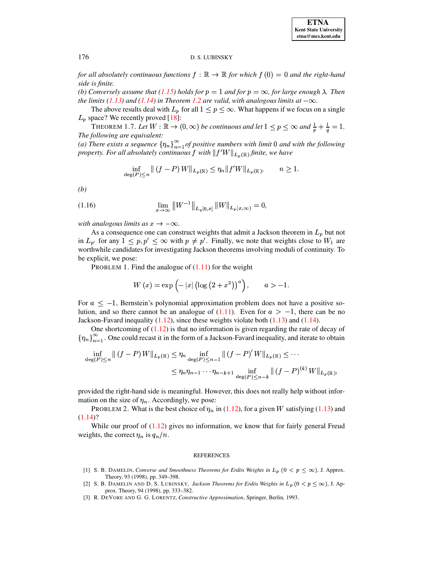for all absolutely continuous functions  $f : \mathbb{R} \to \mathbb{R}$  for which  $f(0) = 0$  and the right-hand side is finite.

(b) Conversely assume that (1.15) holds for  $p = 1$  and for  $p = \infty$ , for large enough  $\lambda$ . Then the limits (1.13) and (1.14) in Theorem 1.2 are valid, with analogous limits at  $-\infty$ .

The above results deal with  $L_p$  for all  $1 \le p \le \infty$ . What happens if we focus on a single  $L_p$  space? We recently proved [18]:

THEOREM 1.7. Let  $W : \mathbb{R} \to (0, \infty)$  be continuous and let  $1 \le p \le \infty$  and  $\frac{1}{p} + \frac{1}{q} = 1$ . The following are equivalent:

(a) There exists a sequence  $\{\eta_n\}_{n=1}^{\infty}$  of positive numbers with limit 0 and with the following property. For all absolutely continuous f with  $||f'W||_{L_p(\mathbb{R})}$  finite, we have

$$
\inf_{\deg(P)\le n} \|(f-P)W\|_{L_p(\mathbb{R})} \le \eta_n \|f'W\|_{L_p(\mathbb{R})}, \qquad n \ge 1.
$$

 $(b)$ 

(1.16) 
$$
\lim_{x \to \infty} ||W^{-1}||_{L_q[0,x]} ||W||_{L_p[x,\infty)} = 0,
$$

with analogous limits as  $x \to -\infty$ .

As a consequence one can construct weights that admit a Jackson theorem in  $L_p$  but not in  $L_{p'}$  for any  $1 \leq p, p' \leq \infty$  with  $p \neq p'$ . Finally, we note that weights close to  $W_1$  are worthwhile candidates for investigating Jackson theorems involving moduli of continuity. To be explicit, we pose:

PROBLEM 1. Find the analogue of  $(1.11)$  for the weight

$$
W(x) = \exp(-|x| (\log (2 + x^{2}))^{a}), \qquad a > -1.
$$

For  $a \le -1$ , Bernstein's polynomial approximation problem does not have a positive solution, and so there cannot be an analogue of  $(1.11)$ . Even for  $a > -1$ , there can be no Jackson-Favard inequality  $(1.12)$ , since these weights violate both  $(1.13)$  and  $(1.14)$ .

One shortcoming of  $(1.12)$  is that no information is given regarding the rate of decay of  $\{\eta_n\}_{n=1}^{\infty}$ . One could recast it in the form of a Jackson-Favard inequality, and iterate to obtain

$$
\inf_{\deg(P)\le n} \|(f-P)W\|_{L_p(\mathbb{R})} \le \eta_n \inf_{\deg(P)\le n-1} \|(f-P)'W\|_{L_p(\mathbb{R})} \le \cdots
$$
  

$$
\le \eta_n \eta_{n-1} \cdots \eta_{n-k+1} \inf_{\deg(P)\le n-k} \|(f-P)^{(k)}W\|_{L_p(\mathbb{R})},
$$

provided the right-hand side is meaningful. However, this does not really help without information on the size of  $\eta_n$ . Accordingly, we pose:

PROBLEM 2. What is the best choice of  $\eta_n$  in (1.12), for a given W satisfying (1.13) and  $(1.14)$ ?

While our proof of  $(1.12)$  gives no information, we know that for fairly general Freud weights, the correct  $\eta_n$  is  $q_n/n$ .

#### **REFERENCES**

- <span id="page-10-1"></span>[1] S. B. DAMELIN, Converse and Smoothness Theorems for Erdös Weights in  $L_p$   $(0 < p < \infty)$ , J. Approx. Theory, 93 (1998), pp. 349-398.
- <span id="page-10-2"></span>[2] S. B. DAMELIN AND D. S. LUBINSKY, Jackson Theorems for Erdös Weights in  $L_p$  (0 <  $p < \infty$ ), J. Approx. Theory, 94 (1998), pp. 333–382.
- <span id="page-10-0"></span>[3] R. DEVORE AND G. G. LORENTZ, Constructive Approximation, Springer, Berlin, 1993.